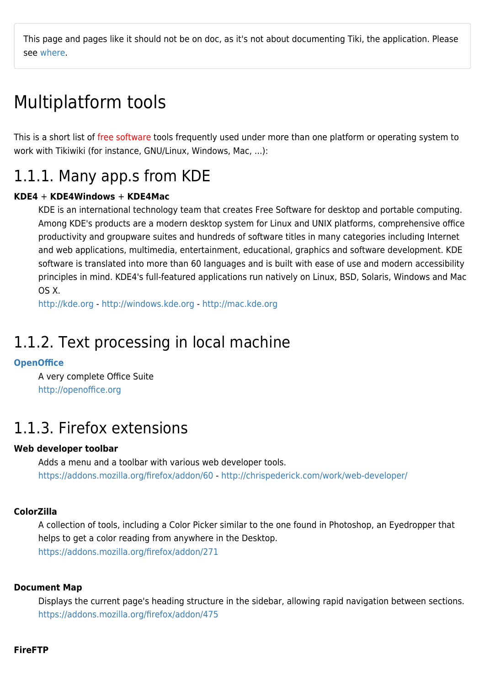This page and pages like it should not be on doc, as it's not about documenting Tiki, the application. Please see [where.](http://tiki.org/where)

# Multiplatform tools

This is a short list of free software tools frequently used under more than one platform or operating system to work with Tikiwiki (for instance, GNU/Linux, Windows, Mac, ...):

# 1.1.1. Many app.s from KDE

### **KDE4** + **KDE4Windows** + **KDE4Mac**

KDE is an international technology team that creates Free Software for desktop and portable computing. Among KDE's products are a modern desktop system for Linux and UNIX platforms, comprehensive office productivity and groupware suites and hundreds of software titles in many categories including Internet and web applications, multimedia, entertainment, educational, graphics and software development. KDE software is translated into more than 60 languages and is built with ease of use and modern accessibility principles in mind. KDE4's full-featured applications run natively on Linux, BSD, Solaris, Windows and Mac OS X.

<http://kde.org> - <http://windows.kde.org>- <http://mac.kde.org>

# 1.1.2. Text processing in local machine

### **[OpenOffice](https://doc.tiki.org/OpenOffice)**

A very complete Office Suite <http://openoffice.org>

# 1.1.3. Firefox extensions

### **Web developer toolbar**

Adds a menu and a toolbar with various web developer tools. <https://addons.mozilla.org/firefox/addon/60>- <http://chrispederick.com/work/web-developer/>

### **ColorZilla**

A collection of tools, including a Color Picker similar to the one found in Photoshop, an Eyedropper that helps to get a color reading from anywhere in the Desktop. <https://addons.mozilla.org/firefox/addon/271>

#### **Document Map**

Displays the current page's heading structure in the sidebar, allowing rapid navigation between sections. <https://addons.mozilla.org/firefox/addon/475>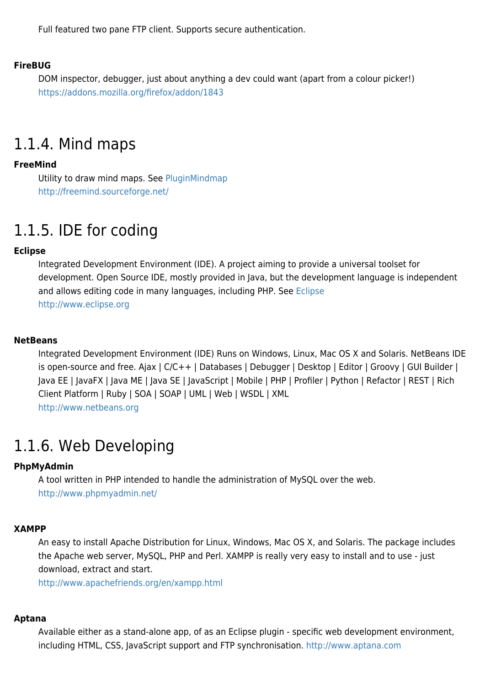Full featured two pane FTP client. Supports secure authentication.

#### **FireBUG**

DOM inspector, debugger, just about anything a dev could want (apart from a colour picker!) <https://addons.mozilla.org/firefox/addon/1843>

# 1.1.4. Mind maps

#### **FreeMind**

Utility to draw mind maps. See [PluginMindmap](https://doc.tiki.org/PluginMindmap) <http://freemind.sourceforge.net/>

# 1.1.5. IDE for coding

### **Eclipse**

Integrated Development Environment (IDE). A project aiming to provide a universal toolset for development. Open Source IDE, mostly provided in Java, but the development language is independent and allows editing code in many languages, including PHP. See [Eclipse](https://doc.tiki.org/Eclipse) <http://www.eclipse.org>

#### **NetBeans**

Integrated Development Environment (IDE) Runs on Windows, Linux, Mac OS X and Solaris. NetBeans IDE is open-source and free. Ajax | C/C++ | Databases | Debugger | Desktop | Editor | Groovy | GUI Builder | Java EE | JavaFX | Java ME | Java SE | JavaScript | Mobile | PHP | Profiler | Python | Refactor | REST | Rich Client Platform | Ruby | SOA | SOAP | UML | Web | WSDL | XML <http://www.netbeans.org>

# 1.1.6. Web Developing

#### **PhpMyAdmin**

A tool written in PHP intended to handle the administration of MySQL over the web. <http://www.phpmyadmin.net/>

#### **XAMPP**

An easy to install Apache Distribution for Linux, Windows, Mac OS X, and Solaris. The package includes the Apache web server, MySQL, PHP and Perl. XAMPP is really very easy to install and to use - just download, extract and start.

<http://www.apachefriends.org/en/xampp.html>

#### **Aptana**

Available either as a stand-alone app, of as an Eclipse plugin - specific web development environment, including HTML, CSS, JavaScript support and FTP synchronisation. <http://www.aptana.com>